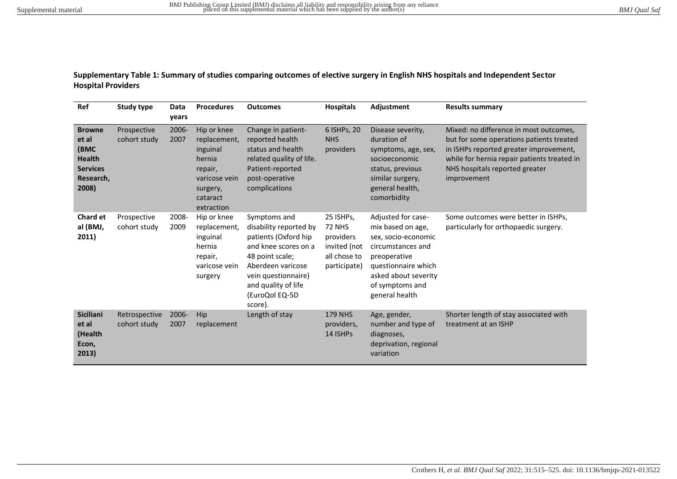**Supplementary Table 1: Summary of studies comparing outcomes of elective surgery in English NHS hospitals and Independent Sector Hospital Providers** 

| Ref                                                                                      | <b>Study type</b>             | Data<br>years | <b>Procedures</b>                                                                                                   | <b>Outcomes</b>                                                                                                                                                                                           | <b>Hospitals</b>                                                                        | Adjustment                                                                                                                                                                              | <b>Results summary</b>                                                                                                                                                                                                       |
|------------------------------------------------------------------------------------------|-------------------------------|---------------|---------------------------------------------------------------------------------------------------------------------|-----------------------------------------------------------------------------------------------------------------------------------------------------------------------------------------------------------|-----------------------------------------------------------------------------------------|-----------------------------------------------------------------------------------------------------------------------------------------------------------------------------------------|------------------------------------------------------------------------------------------------------------------------------------------------------------------------------------------------------------------------------|
| <b>Browne</b><br>et al<br>(BMC<br><b>Health</b><br><b>Services</b><br>Research,<br>2008) | Prospective<br>cohort study   | 2006-<br>2007 | Hip or knee<br>replacement,<br>inguinal<br>hernia<br>repair,<br>varicose vein<br>surgery,<br>cataract<br>extraction | Change in patient-<br>reported health<br>status and health<br>related quality of life.<br>Patient-reported<br>post-operative<br>complications                                                             | 6 ISHPs, 20<br><b>NHS</b><br>providers                                                  | Disease severity,<br>duration of<br>symptoms, age, sex,<br>socioeconomic<br>status, previous<br>similar surgery,<br>general health,<br>comorbidity                                      | Mixed: no difference in most outcomes,<br>but for some operations patients treated<br>in ISHPs reported greater improvement,<br>while for hernia repair patients treated in<br>NHS hospitals reported greater<br>improvement |
| <b>Chard et</b><br>al (BMJ,<br>2011)                                                     | Prospective<br>cohort study   | 2008-<br>2009 | Hip or knee<br>replacement,<br>inguinal<br>hernia<br>repair,<br>varicose vein<br>surgery                            | Symptoms and<br>disability reported by<br>patients (Oxford hip<br>and knee scores on a<br>48 point scale;<br>Aberdeen varicose<br>vein questionnaire)<br>and quality of life<br>(EuroQol EQ-5D<br>score). | 25 ISHPs,<br><b>72 NHS</b><br>providers<br>invited (not<br>all chose to<br>participate) | Adjusted for case-<br>mix based on age,<br>sex, socio-economic<br>circumstances and<br>preoperative<br>questionnaire which<br>asked about severity<br>of symptoms and<br>general health | Some outcomes were better in ISHPs,<br>particularly for orthopaedic surgery.                                                                                                                                                 |
| <b>Siciliani</b><br>et al<br>(Health<br>Econ,<br>2013)                                   | Retrospective<br>cohort study | 2006-<br>2007 | Hip<br>replacement                                                                                                  | Length of stay                                                                                                                                                                                            | <b>179 NHS</b><br>providers,<br>14 ISHPs                                                | Age, gender,<br>number and type of<br>diagnoses,<br>deprivation, regional<br>variation                                                                                                  | Shorter length of stay associated with<br>treatment at an ISHP                                                                                                                                                               |